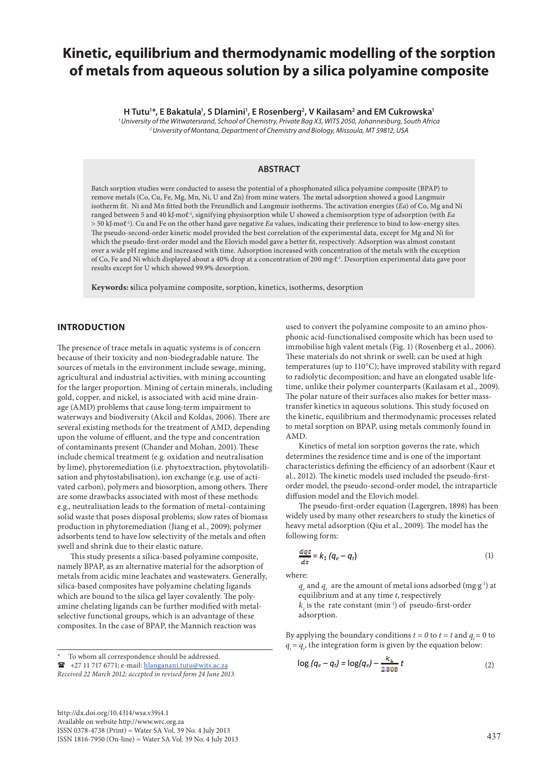# **Kinetic, equilibrium and thermodynamic modelling of the sorption of metals from aqueous solution by a silica polyamine composite**

**H** Tutu<sup>1\*</sup>, E Bakatula<sup>1</sup>, S Dlamini<sup>1</sup>, E Rosenberg<sup>2</sup>, V Kailasam<sup>2</sup> and EM Cukrowska<sup>1</sup>

*1 University of the Witwatersrand, School of Chemistry, Private Bag X3, WITS 2050, Johannesburg, South Africa 2 University of Montana, Department of Chemistry and Biology, Missoula, MT 59812, USA*

# **ABSTRACT**

Batch sorption studies were conducted to assess the potential of a phosphonated silica polyamine composite (BPAP) to remove metals (Co, Cu, Fe, Mg, Mn, Ni, U and Zn) from mine waters. The metal adsorption showed a good Langmuir isotherm fit. Ni and Mn fitted both the Freundlich and Langmuir isotherms. The activation energies (*Ea*) of Co, Mg and Ni ranged between 5 and 40 kJ∙moℓ-1, signifying physisorption while U showed a chemisorption type of adsorption (with *Ea* > 50 kJ∙moℓ-1). Cu and Fe on the other hand gave negative *Ea* values, indicating their preference to bind to low-energy sites. The pseudo-second-order kinetic model provided the best correlation of the experimental data, except for Mg and Ni for which the pseudo-first-order model and the Elovich model gave a better fit, respectively. Adsorption was almost constant over a wide pH regime and increased with time. Adsorption increased with concentration of the metals with the exception of Co, Fe and Ni which displayed about a 40% drop at a concentration of 200 mg∙ℓ-1. Desorption experimental data gave poor results except for U which showed 99.9% desorption.

**Keywords: s**ilica polyamine composite, sorption, kinetics, isotherms, desorption

# **INTRODUCTION**

The presence of trace metals in aquatic systems is of concern because of their toxicity and non-biodegradable nature. The sources of metals in the environment include sewage, mining, agricultural and industrial activities, with mining accounting for the larger proportion. Mining of certain minerals, including gold, copper, and nickel, is associated with acid mine drainage (AMD) problems that cause long-term impairment to waterways and biodiversity (Akcil and Koldas, 2006). There are several existing methods for the treatment of AMD, depending upon the volume of effluent, and the type and concentration of contaminants present (Chander and Mohan, 2001).These include chemical treatment (e.g. oxidation and neutralisation by lime), phytoremediation (i.e. phytoextraction, phytovolatilisation and phytostabilisation), ion exchange (e.g. use of activated carbon), polymers and biosorption, among others. There are some drawbacks associated with most of these methods: e.g., neutralisation leads to the formation of metal-containing solid waste that poses disposal problems; slow rates of biomass production in phytoremediation (Jiang et al., 2009); polymer adsorbents tend to have low selectivity of the metals and often swell and shrink due to their elastic nature.

This study presents a silica-based polyamine composite, namely BPAP, as an alternative material for the adsorption of metals from acidic mine leachates and wastewaters. Generally, silica-based composites have polyamine chelating ligands which are bound to the silica gel layer covalently. The polyamine chelating ligands can be further modified with metalselective functional groups, which is an advantage of these composites. In the case of BPAP, the Mannich reaction was

To whom all correspondence should be addressed.

 $\mathbf{F}$  +27 11 717 6771; e-mail: hlanganani.tutu@wits.ac.za

[http://dx.doi.org/10.4314/wsa.v39i4.1](http://dx.doi.org/10.4314/wsa.v37i4.18) Available on website http://www.wrc.org.za ISSN 0378-4738 (Print) = Water SA Vol. 39 No. 4 July 2013 ISSN 1816-7950 (On-line) = Water SA Vol. 39 No. 4 July 2013 437

used to convert the polyamine composite to an amino phosphonic acid-functionalised composite which has been used to immobilise high valent metals (Fig. 1) (Rosenberg et al., 2006). These materials do not shrink or swell; can be used at high temperatures (up to 110°C); have improved stability with regard to radiolytic decomposition; and have an elongated usable lifetime, unlike their polymer counterparts (Kailasam et al., 2009). The polar nature of their surfaces also makes for better masstransfer kinetics in aqueous solutions. This study focused on the kinetic, equilibrium and thermodynamic processes related to metal sorption on BPAP, using metals commonly found in AMD.

Kinetics of metal ion sorption governs the rate, which determines the residence time and is one of the important characteristics defining the efficiency of an adsorbent (Kaur et al., 2012). The kinetic models used included the pseudo-firstorder model, the pseudo-second-order model, the intraparticle diffusion model and the Elovich model.

The pseudo-first-order equation (Lagergren, 1898) has been widely used by many other researchers to study the kinetics of heavy metal adsorption (Qiu et al., 2009). The model has the following form:

$$
\frac{dqt}{dt} = k_1 \left( q_e - q_t \right) \tag{1}
$$

where:

*q<sub>e</sub>* and *q<sub>t</sub>* are the amount of metal ions adsorbed (mg⋅g<sup>-1</sup>) at equilibrium and at any time *t*, respectively  $k<sub>1</sub>$  is the rate constant (min<sup>-1</sup>) of pseudo-first-order adsorption.

By applying the boundary conditions  $t = 0$  to  $t = t$  and  $q_t = 0$  to  $q_t = q_t$ , the integration form is given by the equation below:

$$
\log\left(q_e - q_t\right) = \log(q_e) - \frac{k_{\perp}}{2.308} t\tag{2}
$$

*Received 22 March 2012; accepted in revised form 24 June 2013.*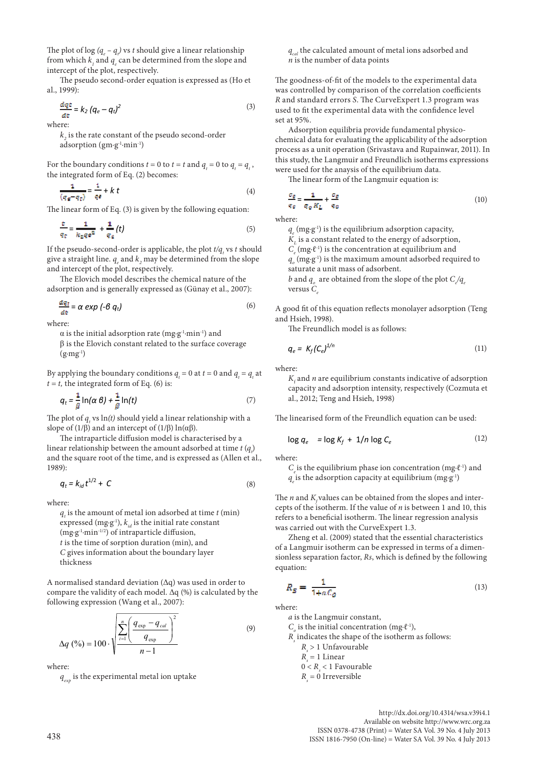The plot of log  $(q_e - q_t)$  vs *t* should give a linear relationship from which  $k_1$  and  $q_2$  can be determined from the slope and intercept of the plot, respectively.

The pseudo second-order equation is expressed as (Ho et al., 1999):

$$
\frac{dq\,\mathbf{t}}{dt} = k_2 \left( q_e - q_t \right)^2 \tag{3}
$$

where:

 $k<sub>2</sub>$  is the rate constant of the pseudo second-order adsorption (gm∙g-1∙min-1)

For the boundary conditions  $t = 0$  to  $t = t$  and  $q_t = 0$  to  $q_t = q_t$ , the integrated form of Eq. (2) becomes:

$$
\frac{1}{(q_{\mathcal{D}} - q_{\mathcal{D}})} = \frac{1}{q_{\mathcal{B}}} + k \ t \tag{4}
$$

The linear form of Eq. (3) is given by the following equation:

$$
\frac{\varepsilon}{q_{\varepsilon}} = \frac{1}{k_{\varepsilon} q \varepsilon^2} + \frac{1}{q_{\varepsilon}}(t) \tag{5}
$$

If the pseudo-second-order is applicable, the plot  $t/q_t$  vs  $t$  should give a straight line.  $q_{e}$  and  $k_{2}$  may be determined from the slope and intercept of the plot, respectively.

The Elovich model describes the chemical nature of the adsorption and is generally expressed as (Günay et al., 2007):

$$
\frac{dq_{\rm T}}{dt} = \alpha \exp(-\beta q_{\rm t})
$$
\n(6)

where:

 $\alpha$  is the initial adsorption rate (mg⋅g<sup>-1</sup>⋅min<sup>-1</sup>) and β is the Elovich constant related to the surface coverage  $(g·mg<sup>-1</sup>)$ 

By applying the boundary conditions  $q_t = 0$  at  $t = 0$  and  $q_t = q_t$  at  $t = t$ , the integrated form of Eq. (6) is:

$$
q_t = \frac{1}{\beta} \ln(\alpha \beta) + \frac{1}{\beta} \ln(t) \tag{7}
$$

The plot of  $q_t$  vs  $ln(t)$  should yield a linear relationship with a slope of (1/β) and an intercept of (1/β)  $ln(\alpha\beta)$ .

The intraparticle diffusion model is characterised by a linear relationship between the amount adsorbed at time  $t\left(q_{t}\right)$ and the square root of the time, and is expressed as (Allen et al., 1989):

$$
q_t = k_{id}t^{1/2} + C \tag{8}
$$

where:

*q*<sub>*i*</sub> is the amount of metal ion adsorbed at time *t* (min) expressed (mg⋅g<sup>-1</sup>),  $k_{id}$  is the initial rate constant (mg∙g-1∙min-1/2) of intraparticle diffusion, *t* is the time of sorption duration (min), and *C* gives information about the boundary layer thickness

A normalised standard deviation (Δq) was used in order to compare the validity of each model.  $\Delta q$  (%) is calculated by the following expression (Wang et al., 2007):

$$
\Delta q \, (\%) = 100 \cdot \sqrt{\sum_{i=1}^{n} \left( \frac{q_{\text{exp}} - q_{\text{cal}}}{q_{\text{exp}}} \right)^2 \over n - 1}
$$
 (9)

where:

 $q_{\text{exp}}$  is the experimental metal ion uptake

*q<sub>cal</sub>* the calculated amount of metal ions adsorbed and *n* is the number of data points

The goodness-of-fit of the models to the experimental data was controlled by comparison of the correlation coefficients *R* and standard errors *S*. The CurveExpert 1.3 program was used to fit the experimental data with the confidence level set at 95%.

Adsorption equilibria provide fundamental physicochemical data for evaluating the applicability of the adsorption process as a unit operation (Srivastava and Rupainwar, 2011). In this study, the Langmuir and Freundlich isotherms expressions were used for the anaysis of the equilibrium data.

The linear form of the Langmuir equation is:

$$
\frac{\sigma_g}{\sigma_g} = \frac{1}{\sigma_o \, K_L} + \frac{\sigma_g}{\sigma_o} \tag{10}
$$

where:

*q*<sub>⊥</sub>(mg⋅g<sup>-1</sup>) is the equilibrium adsorption capacity,

*K*, is a constant related to the energy of adsorption,

*C<sub>a</sub>* (mg⋅ℓ<sup>-1</sup>) is the concentration at equilibrium and

 $q_{_o}(\mathrm{mg}\text{-}g\text{-}{}l)$  is the maximum amount adsorbed required to saturate a unit mass of adsorbent.

*b* and  $q_o$  are obtained from the slope of the plot  $C_e/q_e$ versus *C* 

A good fit of this equation reflects monolayer adsorption (Teng and Hsieh, 1998).

The Freundlich model is as follows:

$$
q_e = K_f (C_e)^{1/n} \tag{11}
$$

where:

 $K_{\rm f}$  and  $n$  are equilibrium constants indicative of adsorption capacity and adsorption intensity, respectively (Cozmuta et al., 2012; Teng and Hsieh, 1998)

The linearised form of the Freundlich equation can be used:

$$
\log q_e = \log K_f + 1/n \log C_e \tag{12}
$$

where:

*C*<sub>a</sub> is the equilibrium phase ion concentration (mg⋅ℓ<sup>-1</sup>) and *q* is the adsorption capacity at equilibrium (mg⋅g<sup>-1)</sup>

The  $n$  and  $K_f$  values can be obtained from the slopes and intercepts of the isotherm. If the value of *n* is between 1 and 10, this refers to a beneficial isotherm. The linear regression analysis was carried out with the CurveExpert 1.3.

Zheng et al. (2009) stated that the essential characteristics of a Langmuir isotherm can be expressed in terms of a dimensionless separation factor, *Rs*, which is defined by the following equation:

$$
R_S = \frac{1}{1 + aC_0} \tag{13}
$$

where:

*a* is the Langmuir constant,

 $C_{\rho}$  is the initial concentration (mg⋅ℓ<sup>-1</sup>),

- $R_s$  indicates the shape of the isotherm as follows:
	- *Rs* > 1 Unfavourable
	- $R_s = 1$  Linear
	- 0 < *Rs* < 1 Favourable
	- *Rs* = 0 Irreversible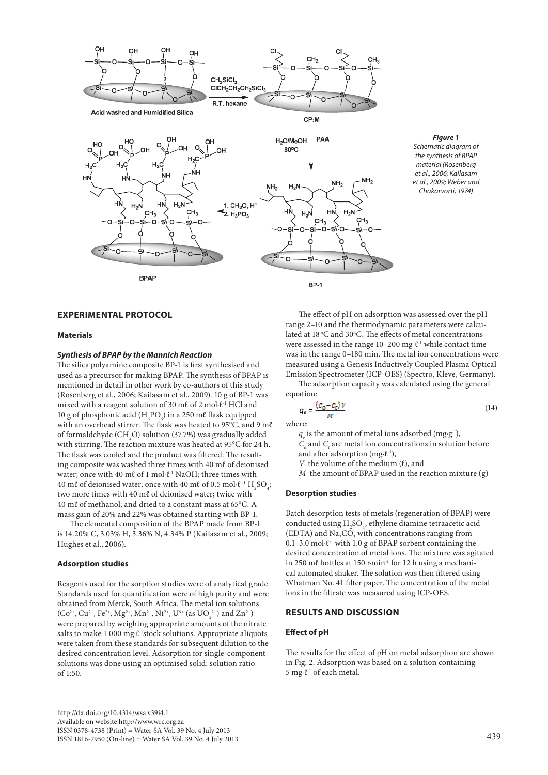



## **EXPERIMENTAL PROTOCOL**

#### **Materials**

#### *Synthesis of BPAP by the Mannich Reaction*

The silica polyamine composite BP-1 is first synthesised and used as a precursor for making BPAP. The synthesis of BPAP is mentioned in detail in other work by co-authors of this study (Rosenberg et al., 2006; Kailasam et al., 2009). 10 g of BP-1 was mixed with a reagent solution of 30 mℓ of 2 mol∙ℓ-1 HCl and 10 g of phosphonic acid  $(H_3PO_3)$  in a 250 m $\ell$  flask equipped with an overhead stirrer. The flask was heated to 95°C, and 9 mℓ of formaldehyde (CH<sub>2</sub>O) solution (37.7%) was gradually added with stirring. The reaction mixture was heated at 95°C for 24 h. The flask was cooled and the product was filtered. The resulting composite was washed three times with 40 mℓ of deionised water; once with 40 mℓ of 1 mol⋅ℓ<sup>-1</sup> NaOH; three times with 40 mℓ of deionised water; once with 40 mℓ of 0.5 mol⋅ℓ<sup>-1</sup> H<sub>2</sub>SO<sub>4</sub>; two more times with 40 mℓ of deionised water; twice with 40 mℓ of methanol; and dried to a constant mass at 65°C. A mass gain of 20% and 22% was obtained starting with BP-1.

The elemental composition of the BPAP made from BP-1 is 14.20% C, 3.03% H, 3.36% N, 4.34% P (Kailasam et al., 2009; Hughes et al., 2006).

## **Adsorption studies**

Reagents used for the sorption studies were of analytical grade. Standards used for quantification were of high purity and were obtained from Merck, South Africa. The metal ion solutions  $(Co^{2+}$ ,  $Cu^{2+}$ ,  $Fe^{2+}$ ,  $Mg^{2+}$ ,  $Mn^{2+}$ ,  $Ni^{2+}$ ,  $U^{6+}$  (as  $UO_2^{2+}$ ) and  $Zn^{2+}$ ) were prepared by weighing appropriate amounts of the nitrate salts to make 1 000 mg⋅ℓ<sup>-1</sup>stock solutions. Appropriate aliquots were taken from these standards for subsequent dilution to the desired concentration level. Adsorption for single-component solutions was done using an optimised solid: solution ratio of 1:50.

The effect of pH on adsorption was assessed over the pH range 2–10 and the thermodynamic parameters were calculated at 18 °C and 30°C. The effects of metal concentrations were assessed in the range 10–200 mg  $\ell$ <sup>-1</sup> while contact time was in the range 0–180 min. The metal ion concentrations were measured using a Genesis Inductively Coupled Plasma Optical Emission Spectrometer (ICP-OES) (Spectro, Kleve, Germany).

The adsorption capacity was calculated using the general equation:

$$
q_e = \frac{(c_o - c_e)v}{M}
$$
 (14)

where:

 $q_{\text{e}}$  is the amount of metal ions adsorbed (mg⋅g<sup>-1</sup>),

 $C$ <sub>c</sub> and  $C$ <sub>t</sub> are metal ion concentrations in solution before and after adsorption (mg∙ℓ-1),

*V* the volume of the medium  $(ℓ)$ , and

*M* the amount of BPAP used in the reaction mixture (g)

## **Desorption studies**

Batch desorption tests of metals (regeneration of BPAP) were conducted using  $\mathrm{H}_2\mathrm{SO}_4$ , ethylene diamine tetraacetic acid (EDTA) and  $\rm Na_{2}CO_{3}$  with concentrations ranging from 0.1–3.0 mol∙ℓ-1 with 1.0 g of BPAP sorbent containing the desired concentration of metal ions. The mixture was agitated in 250 mℓ bottles at 150 r∙min-1 for 12 h using a mechanical automated shaker. The solution was then filtered using Whatman No. 41 filter paper. The concentration of the metal ions in the filtrate was measured using ICP-OES.

# **RESULTS AND DISCUSSION**

# **Effect of pH**

The results for the effect of pH on metal adsorption are shown in Fig. 2. Adsorption was based on a solution containing 5 mg∙ℓ-1 of each metal.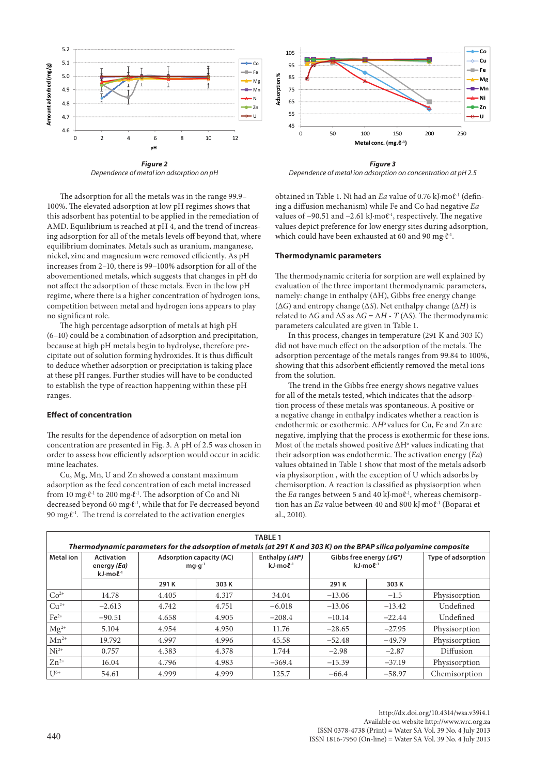

*Dependence of metal ion adsorption on pH*

The adsorption for all the metals was in the range 99.9– 100%. The elevated adsorption at low pH regimes shows that this adsorbent has potential to be applied in the remediation of AMD. Equilibrium is reached at pH 4, and the trend of increasing adsorption for all of the metals levels off beyond that, where equilibrium dominates. Metals such as uranium, manganese, nickel, zinc and magnesium were removed efficiently. As pH increases from 2–10, there is 99–100% adsorption for all of the abovementioned metals, which suggests that changes in pH do not affect the adsorption of these metals. Even in the low pH regime, where there is a higher concentration of hydrogen ions, competition between metal and hydrogen ions appears to play no significant role.

The high percentage adsorption of metals at high pH (6–10) could be a combination of adsorption and precipitation, because at high pH metals begin to hydrolyse, therefore precipitate out of solution forming hydroxides. It is thus difficult to deduce whether adsorption or precipitation is taking place at these pH ranges. Further studies will have to be conducted to establish the type of reaction happening within these pH ranges.

# **Effect of concentration**

The results for the dependence of adsorption on metal ion concentration are presented in Fig. 3. A pH of 2.5 was chosen in order to assess how efficiently adsorption would occur in acidic mine leachates.

Cu, Mg, Mn, U and Zn showed a constant maximum adsorption as the feed concentration of each metal increased from 10 mg∙ℓ-1 to 200 mg∙ℓ-1. The adsorption of Co and Ni decreased beyond 60 mg∙ℓ-1, while that for Fe decreased beyond 90 mg⋅ℓ<sup>-1</sup>. The trend is correlated to the activation energies



*Dependence of metal ion adsorption on concentration at pH 2.5*

obtained in Table 1. Ni had an *Ea* value of 0.76 kJ∙moℓ-1 (defining a diffusion mechanism) while Fe and Co had negative *Ea* values of −90.51 and −2.61 kJ∙moℓ-1, respectively. The negative values depict preference for low energy sites during adsorption, which could have been exhausted at 60 and 90 mg∙ℓ-1.

# **Thermodynamic parameters**

The thermodynamic criteria for sorption are well explained by evaluation of the three important thermodynamic parameters, namely: change in enthalpy (ΔH), Gibbs free energy change (Δ*G*) and entropy change (Δ*S*). Net enthalpy change (Δ*H*) is related to  $\Delta G$  and  $\Delta S$  as  $\Delta G = \Delta H$  - *T* ( $\Delta S$ ). The thermodynamic parameters calculated are given in Table 1.

In this process, changes in temperature (291 K and 303 K) did not have much effect on the adsorption of the metals. The adsorption percentage of the metals ranges from 99.84 to 100%, showing that this adsorbent efficiently removed the metal ions from the solution.

The trend in the Gibbs free energy shows negative values for all of the metals tested, which indicates that the adsorption process of these metals was spontaneous. A positive or a negative change in enthalpy indicates whether a reaction is endothermic or exothermic. ∆*H*o values for Cu, Fe and Zn are negative, implying that the process is exothermic for these ions. Most of the metals showed positive ∆H<sup>°</sup> values indicating that their adsorption was endothermic. The activation energy (*Ea*) values obtained in Table 1 show that most of the metals adsorb via physisorption , with the exception of U which adsorbs by chemisorption. A reaction is classified as physisorption when the *Ea* ranges between 5 and 40 kJ∙moℓ-1, whereas chemisorption has an *Ea* value between 40 and 800 kJ∙moℓ-1 (Boparai et al., 2010).

|                                                                                                                   |                                                                     |       |                                               | <b>TABLE 1</b>                                       |                                                                  |                           |               |  |  |  |  |
|-------------------------------------------------------------------------------------------------------------------|---------------------------------------------------------------------|-------|-----------------------------------------------|------------------------------------------------------|------------------------------------------------------------------|---------------------------|---------------|--|--|--|--|
| Thermodynamic parameters for the adsorption of metals (at 291 K and 303 K) on the BPAP silica polyamine composite |                                                                     |       |                                               |                                                      |                                                                  |                           |               |  |  |  |  |
| <b>Metal</b> ion                                                                                                  | <b>Activation</b><br>energy (Ea)<br>$kJ \cdot \text{mod} \ell^{-1}$ |       | <b>Adsorption capacity (AC)</b><br>$mqq^{-1}$ | Enthalpy $(\Delta H^{\circ})$<br>$kJ \cdot mol^{-1}$ | Gibbs free energy $(\varDelta G^{\circ})$<br>$kJ \cdot mol^{-1}$ | <b>Type of adsorption</b> |               |  |  |  |  |
|                                                                                                                   |                                                                     | 291 K | 303 K                                         |                                                      | 291 K                                                            | 303 K                     |               |  |  |  |  |
| $Co2+$                                                                                                            | 14.78                                                               | 4.405 | 4.317                                         | 34.04                                                | $-13.06$                                                         | $-1.5$                    | Physisorption |  |  |  |  |
| $Cu2+$                                                                                                            | $-2.613$                                                            | 4.742 | 4.751                                         | $-6.018$                                             | $-13.06$                                                         | $-13.42$                  | Undefined     |  |  |  |  |
| $Fe2+$                                                                                                            | $-90.51$                                                            | 4.658 | 4.905                                         | $-208.4$                                             | $-10.14$                                                         | $-22.44$                  | Undefined     |  |  |  |  |
| $Mg^{2+}$                                                                                                         | 5.104                                                               | 4.954 | 4.950                                         | 11.76                                                | $-28.65$                                                         | $-27.95$                  | Physisorption |  |  |  |  |
| $Mn^{2+}$                                                                                                         | 19.792                                                              | 4.997 | 4.996                                         | 45.58                                                | $-52.48$                                                         | $-49.79$                  | Physisorption |  |  |  |  |
| $Ni2+$                                                                                                            | 0.757                                                               | 4.383 | 4.378                                         | 1.744                                                | $-2.98$                                                          | $-2.87$                   | Diffusion     |  |  |  |  |
| $Zn^{2+}$                                                                                                         | 16.04                                                               | 4.796 | 4.983                                         | $-369.4$                                             | $-15.39$                                                         | $-37.19$                  | Physisorption |  |  |  |  |
| $U^{6+}$                                                                                                          | 54.61                                                               | 4.999 | 4.999                                         | 125.7                                                | $-66.4$                                                          | $-58.97$                  | Chemisorption |  |  |  |  |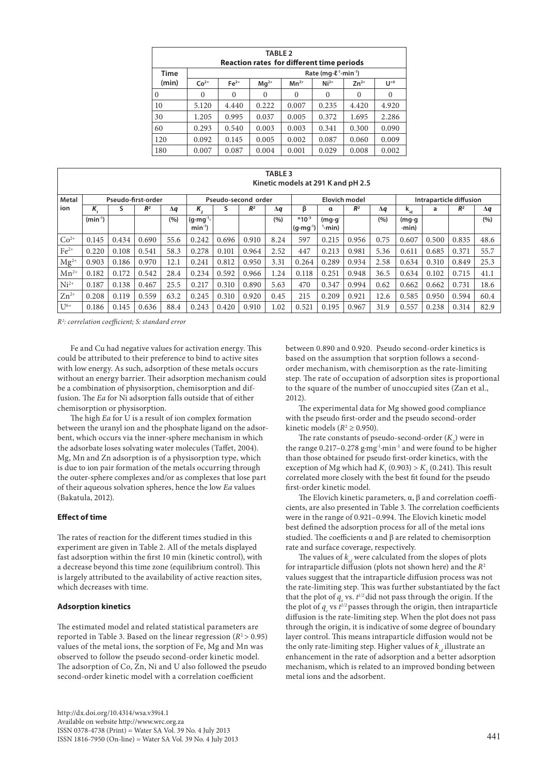| <b>TABLE 2</b><br><b>Reaction rates for different time periods</b> |                                                  |          |           |           |          |           |          |  |  |  |  |  |
|--------------------------------------------------------------------|--------------------------------------------------|----------|-----------|-----------|----------|-----------|----------|--|--|--|--|--|
| <b>Time</b>                                                        | Rate ( $mq \cdot \ell^{-1}$ ·min <sup>-1</sup> ) |          |           |           |          |           |          |  |  |  |  |  |
| (min)                                                              | $Co2+$                                           | $Fe2+$   | $Mq^{2+}$ | $Mn^{2+}$ | $Ni2+$   | $Zn^{2+}$ | $U^{+6}$ |  |  |  |  |  |
| $\theta$                                                           | $\theta$                                         | $\Omega$ | $\Omega$  | $\theta$  | $\theta$ | $\Omega$  | $\Omega$ |  |  |  |  |  |
| 10                                                                 | 5.120                                            | 4.440    | 0.222     | 0.007     | 0.235    | 4.420     | 4.920    |  |  |  |  |  |
| 30                                                                 | 1.205                                            | 0.995    | 0.037     | 0.005     | 0.372    | 1.695     | 2.286    |  |  |  |  |  |
| 60                                                                 | 0.293                                            | 0.540    | 0.003     | 0.003     | 0.341    | 0.300     | 0.090    |  |  |  |  |  |
| 120                                                                | 0.092                                            | 0.145    | 0.005     | 0.002     | 0.087    | 0.060     | 0.009    |  |  |  |  |  |
| 180                                                                | 0.007                                            | 0.087    | 0.004     | 0.001     | 0.029    | 0.008     | 0.002    |  |  |  |  |  |

**TABLE 3**

|              | 10 J D D D J<br>Kinetic models at 291 K and pH 2.5 |       |                    |            |                                        |       |                |                      |                                   |                                      |                |                         |                                |       |                |            |
|--------------|----------------------------------------------------|-------|--------------------|------------|----------------------------------------|-------|----------------|----------------------|-----------------------------------|--------------------------------------|----------------|-------------------------|--------------------------------|-------|----------------|------------|
| <b>Metal</b> |                                                    |       | Pseudo-first-order |            | Pseudo-second order                    |       |                | <b>Elovich model</b> |                                   |                                      |                | Intraparticle diffusion |                                |       |                |            |
| ion          | K.                                                 | s     | R <sup>2</sup>     | $\Delta q$ | κ,                                     | s     | R <sup>2</sup> | Δq                   | β                                 | α                                    | R <sup>2</sup> | $\Delta q$              | $\mathbf{k}_{\rm id}$          | a     | R <sup>2</sup> | $\Delta q$ |
|              | $(min^{-1})$                                       |       |                    | (9/6)      | $(q \cdot mq^{-1} \cdot$<br>$min^{-1}$ |       |                | (%)                  | $*10^{-3}$<br>$(q \cdot mq^{-1})$ | $(mq \cdot q)$<br><sup>1</sup> ·min) |                | (%)                     | $(mq \cdot q)$<br>$\cdot$ min) |       |                | (%)        |
| $Co2+$       | 0.145                                              | 0.434 | 0.690              | 55.6       | 0.242                                  | 0.696 | 0.910          | 8.24                 | 597                               | 0.215                                | 0.956          | 0.75                    | 0.607                          | 0.500 | 0.835          | 48.6       |
| $Fe2+$       | 0.220                                              | 0.108 | 0.541              | 58.3       | 0.278                                  | 0.101 | 0.964          | 2.52                 | 447                               | 0.213                                | 0.981          | 5.36                    | 0.611                          | 0.685 | 0.371          | 55.7       |
| $Mg^{2+}$    | 0.903                                              | 0.186 | 0.970              | 12.1       | 0.241                                  | 0.812 | 0.950          | 3.31                 | 0.264                             | 0.289                                | 0.934          | 2.58                    | 0.634                          | 0.310 | 0.849          | 25.3       |
| $Mn^{2+}$    | 0.182                                              | 0.172 | 0.542              | 28.4       | 0.234                                  | 0.592 | 0.966          | 1.24                 | 0.118                             | 0.251                                | 0.948          | 36.5                    | 0.634                          | 0.102 | 0.715          | 41.1       |
| $Ni2+$       | 0.187                                              | 0.138 | 0.467              | 25.5       | 0.217                                  | 0.310 | 0.890          | 5.63                 | 470                               | 0.347                                | 0.994          | 0.62                    | 0.662                          | 0.662 | 0.731          | 18.6       |
| $Zn^{2+}$    | 0.208                                              | 0.119 | 0.559              | 63.2       | 0.245                                  | 0.310 | 0.920          | 0.45                 | 215                               | 0.209                                | 0.921          | 12.6                    | 0.585                          | 0.950 | 0.594          | 60.4       |
| $U^{6+}$     | 0.186                                              | 0.145 | 0.636              | 88.4       | 0.243                                  | 0.420 | 0.910          | 1.02                 | 0.521                             | 0.195                                | 0.967          | 31.9                    | 0.557                          | 0.238 | 0.314          | 82.9       |

*R2 : correlation coefficient; S: standard error* 

Fe and Cu had negative values for activation energy. This could be attributed to their preference to bind to active sites with low energy. As such, adsorption of these metals occurs without an energy barrier. Their adsorption mechanism could be a combination of physisorption, chemisorption and diffusion. The *Ea* for Ni adsorption falls outside that of either chemisorption or physisorption.

The high *Ea* for U is a result of ion complex formation between the uranyl ion and the phosphate ligand on the adsorbent, which occurs via the inner-sphere mechanism in which the adsorbate loses solvating water molecules (Taffet, 2004). Mg, Mn and Zn adsorption is of a physisorption type, which is due to ion pair formation of the metals occurring through the outer-sphere complexes and/or as complexes that lose part of their aqueous solvation spheres, hence the low *Ea* values (Bakatula, 2012).

# **Effect of time**

The rates of reaction for the different times studied in this experiment are given in Table 2. All of the metals displayed fast adsorption within the first 10 min (kinetic control), with a decrease beyond this time zone (equilibrium control). This is largely attributed to the availability of active reaction sites, which decreases with time.

#### **Adsorption kinetics**

The estimated model and related statistical parameters are reported in Table 3. Based on the linear regression  $(R^2 > 0.95)$ values of the metal ions, the sorption of Fe, Mg and Mn was observed to follow the pseudo second-order kinetic model. The adsorption of Co, Zn, Ni and U also followed the pseudo second-order kinetic model with a correlation coefficient

between 0.890 and 0.920. Pseudo second-order kinetics is based on the assumption that sorption follows a secondorder mechanism, with chemisorption as the rate-limiting step. The rate of occupation of adsorption sites is proportional to the square of the number of unoccupied sites (Zan et al., 2012).

The experimental data for Mg showed good compliance with the pseudo first-order and the pseudo second-order kinetic models ( $R^2 \ge 0.950$ ).

The rate constants of pseudo-second-order  $(K_2)$  were in the range 0.217–0.278 g∙mg-1∙min-1 and were found to be higher than those obtained for pseudo first-order kinetics, with the exception of Mg which had  $K_1$  (0.903) >  $K_2$  (0.241). This result correlated more closely with the best fit found for the pseudo first-order kinetic model.

The Elovich kinetic parameters, α, β and correlation coefficients, are also presented in Table 3. The correlation coefficients were in the range of 0.921–0.994. The Elovich kinetic model best defined the adsorption process for all of the metal ions studied. The coefficients α and β are related to chemisorption rate and surface coverage, respectively.

The values of  $k_{i,d}$  were calculated from the slopes of plots for intraparticle diffusion (plots not shown here) and the *R*<sup>2</sup> values suggest that the intraparticle diffusion process was not the rate-limiting step. This was further substantiated by the fact that the plot of  $q_e$  vs.  $t^{1/2}$  did not pass through the origin. If the the plot of  $q_e$  vs  $t^{1/2}$  passes through the origin, then intraparticle diffusion is the rate-limiting step. When the plot does not pass through the origin, it is indicative of some degree of boundary layer control. This means intraparticle diffusion would not be the only rate-limiting step. Higher values of  $k_{id}$  illustrate an enhancement in the rate of adsorption and a better adsorption mechanism, which is related to an improved bonding between metal ions and the adsorbent.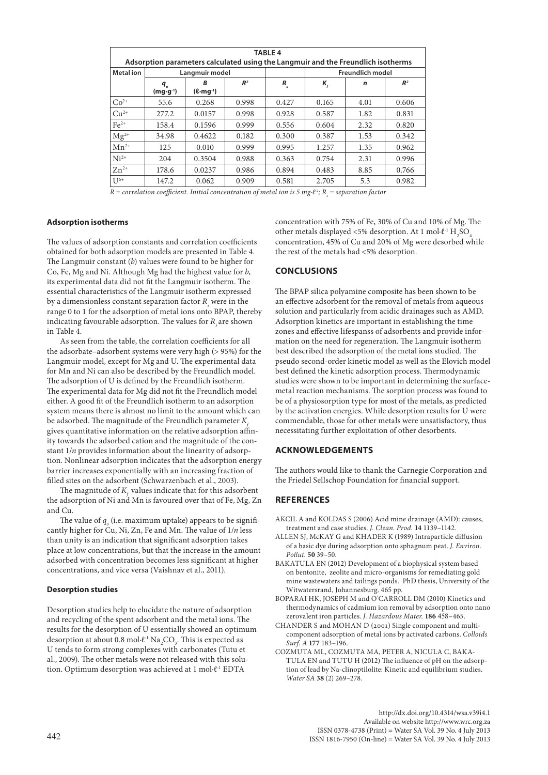| <b>TABLE 4</b>                                                                   |                                          |                                  |                |         |                            |                         |                |  |  |  |
|----------------------------------------------------------------------------------|------------------------------------------|----------------------------------|----------------|---------|----------------------------|-------------------------|----------------|--|--|--|
| Adsorption parameters calculated using the Langmuir and the Freundlich isotherms |                                          |                                  |                |         |                            |                         |                |  |  |  |
| <b>Metal</b> ion                                                                 |                                          | Langmuir model                   |                |         |                            | <b>Freundlich model</b> |                |  |  |  |
|                                                                                  | $q_{\scriptscriptstyle a}$<br>$(mg·g-1)$ | B<br>$(\ell$ ·mg <sup>-1</sup> ) | R <sup>2</sup> | $R_{s}$ | $K_{\scriptscriptstyle f}$ | $\mathbf n$             | R <sup>2</sup> |  |  |  |
| $Co2+$                                                                           | 55.6                                     | 0.268                            | 0.998          | 0.427   | 0.165                      | 4.01                    | 0.606          |  |  |  |
| $Cu2+$                                                                           | 277.2                                    | 0.0157                           | 0.998          | 0.928   | 0.587                      | 1.82                    | 0.831          |  |  |  |
| $Fe2+$                                                                           | 158.4                                    | 0.1596                           | 0.999          | 0.556   | 0.604                      | 2.32                    | 0.820          |  |  |  |
| $Mg^{2+}$                                                                        | 34.98                                    | 0.4622                           | 0.182          | 0.300   | 0.387                      | 1.53                    | 0.342          |  |  |  |
| $Mn^{2+}$                                                                        | 125                                      | 0.010                            | 0.999          | 0.995   | 1.257                      | 1.35                    | 0.962          |  |  |  |
| $Ni2+$                                                                           | 204                                      | 0.3504                           | 0.988          | 0.363   | 0.754                      | 2.31                    | 0.996          |  |  |  |
| $Zn^{2+}$                                                                        | 178.6                                    | 0.0237                           | 0.986          | 0.894   | 0.483                      | 8.85                    | 0.766          |  |  |  |
| $I J^{6+}$                                                                       | 147.2                                    | 0.062                            | 0.909          | 0.581   | 2.705                      | 5.3                     | 0.982          |  |  |  |

*R* = correlation coefficient. Initial concentration of metal ion is 5 mg∙ℓ<sup>-1</sup>; R<sub>s</sub> = separation factor

#### **Adsorption isotherms**

The values of adsorption constants and correlation coefficients obtained for both adsorption models are presented in Table 4. The Langmuir constant (*b*) values were found to be higher for Co, Fe, Mg and Ni. Although Mg had the highest value for *b*, its experimental data did not fit the Langmuir isotherm. The essential characteristics of the Langmuir isotherm expressed by a dimensionless constant separation factor  $R_s$  were in the range 0 to 1 for the adsorption of metal ions onto BPAP, thereby indicating favourable adsorption. The values for  $R<sub>s</sub>$  are shown in Table 4.

As seen from the table, the correlation coefficients for all the adsorbate–adsorbent systems were very high (> 95%) for the Langmuir model, except for Mg and U. The experimental data for Mn and Ni can also be described by the Freundlich model. The adsorption of U is defined by the Freundlich isotherm. The experimental data for Mg did not fit the Freundlich model either. A good fit of the Freundlich isotherm to an adsorption system means there is almost no limit to the amount which can be adsorbed. The magnitude of the Freundlich parameter  $K_c$ gives quantitative information on the relative adsorption affinity towards the adsorbed cation and the magnitude of the constant 1/*n* provides information about the linearity of adsorption. Nonlinear adsorption indicates that the adsorption energy barrier increases exponentially with an increasing fraction of filled sites on the adsorbent (Schwarzenbach et al., 2003).

The magnitude of  $K<sub>c</sub>$  values indicate that for this adsorbent the adsorption of Ni and Mn is favoured over that of Fe, Mg, Zn and Cu.

The value of  $q_{_o}$  (i.e. maximum uptake) appears to be significantly higher for Cu, Ni, Zn, Fe and Mn. The value of 1/*n* less than unity is an indication that significant adsorption takes place at low concentrations, but that the increase in the amount adsorbed with concentration becomes less significant at higher concentrations, and vice versa (Vaishnav et al., 2011).

#### **Desorption studies**

Desorption studies help to elucidate the nature of adsorption and recycling of the spent adsorbent and the metal ions. The results for the desorption of U essentially showed an optimum desorption at about 0.8 mol⋅ $\ell$ <sup>-1</sup> Na<sub>2</sub>CO<sub>3</sub>. This is expected as U tends to form strong complexes with carbonates (Tutu et al., 2009). The other metals were not released with this solution. Optimum desorption was achieved at 1 mol∙ℓ-1 EDTA

concentration with 75% of Fe, 30% of Cu and 10% of Mg. The other metals displayed <5% desorption. At 1 mol∙ $\ell$ <sup>-1</sup> H<sub>2</sub>SO<sub>4</sub> concentration, 45% of Cu and 20% of Mg were desorbed while the rest of the metals had <5% desorption.

## **CONCLUSIONS**

The BPAP silica polyamine composite has been shown to be an effective adsorbent for the removal of metals from aqueous solution and particularly from acidic drainages such as AMD. Adsorption kinetics are important in establishing the time zones and effective lifespanss of adsorbents and provide information on the need for regeneration. The Langmuir isotherm best described the adsorption of the metal ions studied. The pseudo second-order kinetic model as well as the Elovich model best defined the kinetic adsorption process. Thermodynamic studies were shown to be important in determining the surfacemetal reaction mechanisms. The sorption process was found to be of a physiosorption type for most of the metals, as predicted by the activation energies. While desorption results for U were commendable, those for other metals were unsatisfactory, thus necessitating further exploitation of other desorbents.

# **ACKNOWLEDGEMENTS**

The authors would like to thank the Carnegie Corporation and the Friedel Sellschop Foundation for financial support.

## **REFERENCES**

- AKCIL A and KOLDAS S (2006) Acid mine drainage (AMD): causes, treatment and case studies. *J. Clean. Prod.* **14** 1139–1142.
- ALLEN SJ, McKAY G and KHADER K (1989) Intraparticle diffusion of a basic dye during adsorption onto sphagnum peat. *J. Environ. Pollut.* **50** 39–50.
- BAKATULA EN (2012) Development of a biophysical system based on bentonite, zeolite and micro-organisms for remediating gold mine wastewaters and tailings ponds. PhD thesis, University of the Witwatersrand, Johannesburg. 465 pp.
- BOPARAI HK, JOSEPH M and O'CARROLL DM (2010) Kinetics and thermodynamics of cadmium ion removal by adsorption onto nano zerovalent iron particles. *J. Hazardous Mater.* **186** 458–465.
- CHANDER S and MOHAN D (2001) Single component and multicomponent adsorption of metal ions by activated carbons. *Colloids Surf. A* **177** 183–196.
- COZMUTA ML, COZMUTA MA, PETER A, NICULA C, BAKA-TULA EN and TUTU H (2012) The influence of pH on the adsorption of lead by Na-clinoptilolite: Kinetic and equilibrium studies. *Water SA* **38** (2) 269–278.

[http://dx.doi.org/10.4314/wsa.v39i4.](http://dx.doi.org/10.4314/wsa.v37i4.18)1 Available on website http://www.wrc.org.za ISSN 0378-4738 (Print) = Water SA Vol. 39 No. 4 July 2013  $442$ <br>ISSN 1816-7950 (On-line) = Water SA Vol. 39 No. 4 July 2013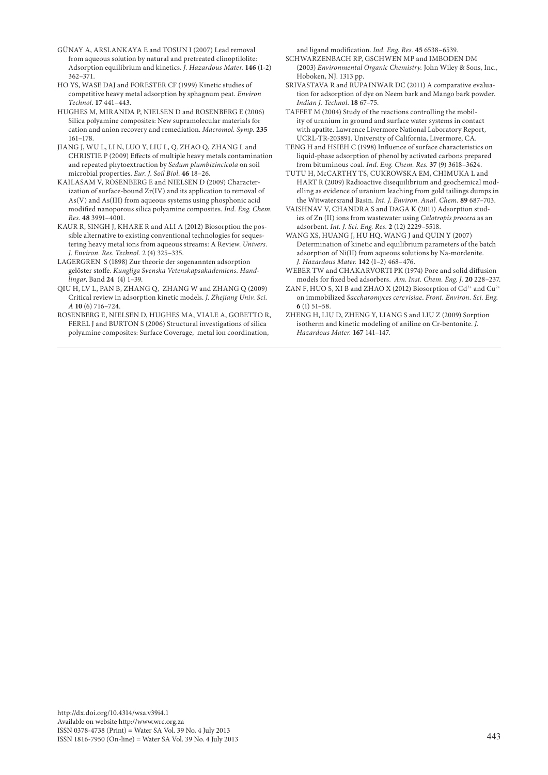- GÜNAY A, ARSLANKAYA E and TOSUN I (2007) Lead removal from aqueous solution by natural and pretreated clinoptilolite: Adsorption equilibrium and kinetics. *J. Hazardous Mater.* **146** (1-2) 362–371.
- HO YS, WASE DAJ and FORESTER CF (1999) Kinetic studies of competitive heavy metal adsorption by sphagnum peat. *Environ Technol*. **17** 441–443.
- HUGHES M, MIRANDA P, NIELSEN D and ROSENBERG E (2006) Silica polyamine composites: New supramolecular materials for cation and anion recovery and remediation. *Macromol. Symp.* **235** 161–178.
- JIANG J, WU L, LI N, LUO Y, LIU L, Q. ZHAO Q, ZHANG L and CHRISTIE P (2009) Effects of multiple heavy metals contamination and repeated phytoextraction by *Sedum plumbizincicola* on soil microbial properties. *Eur. J. Soil Biol*. **46** 18–26.
- KAILASAM V, ROSENBERG E and NIELSEN D (2009) Characterization of surface-bound Zr(IV) and its application to removal of As(V) and As(III) from aqueous systems using phosphonic acid modified nanoporous silica polyamine composites. *Ind. Eng. Chem. Res.* **48** 3991–4001.
- KAUR R, SINGH J, KHARE R and ALI A (2012) Biosorption the possible alternative to existing conventional technologies for sequestering heavy metal ions from aqueous streams: A Review. *Univers. J. Environ. Res. Technol.* 2 (4) 325–335.
- LAGERGREN S (1898) Zur theorie der sogenannten adsorption gelöster stoffe. *Kungliga Svenska Vetenskapsakademiens. Handlingar*, Band **24** (4) 1–39.
- QIU H, LV L, PAN B, ZHANG Q, ZHANG W and ZHANG Q (2009) Critical review in adsorption kinetic models. *J. Zhejiang Univ. Sci. A* **10** (6) 716–724.
- ROSENBERG E, NIELSEN D, HUGHES MA, VIALE A, GOBETTO R, FEREL J and BURTON S (2006) Structural investigations of silica polyamine composites: Surface Coverage, metal ion coordination,

and ligand modification. *Ind. Eng. Res.* **45** 6538–6539.

- SCHWARZENBACH RP, GSCHWEN MP and IMBODEN DM (2003) *Environmental Organic Chemistry.* John Wiley & Sons, Inc., Hoboken, NJ. 1313 pp.
- SRIVASTAVA R and RUPAINWAR DC (2011) A comparative evaluation for adsorption of dye on Neem bark and Mango bark powder. *Indian J. Technol*. **18** 67–75.
- TAFFET M (2004) Study of the reactions controlling the mobility of uranium in ground and surface water systems in contact with apatite. Lawrence Livermore National Laboratory Report, UCRL-TR-203891. University of California, Livermore, CA.
- TENG H and HSIEH C (1998) Influence of surface characteristics on liquid-phase adsorption of phenol by activated carbons prepared from bituminous coal. *Ind. Eng. Chem. Res.* **37** (9) 3618–3624.
- TUTU H, McCARTHY TS, CUKROWSKA EM, CHIMUKA L and HART R (2009) Radioactive disequilibrium and geochemical modelling as evidence of uranium leaching from gold tailings dumps in the Witwatersrand Basin. *Int. J. Environ. Anal. Chem.* **89** 687–703.
- VAISHNAV V, CHANDRA S and DAGA K (2011) Adsorption studies of Zn (II) ions from wastewater using *Calotropis procera* as an adsorbent. *Int. J. Sci. Eng. Res.* **2** (12) 2229–5518.
- WANG XS, HUANG J, HU HQ, WANG J and QUIN Y (2007) Determination of kinetic and equilibrium parameters of the batch adsorption of Ni(II) from aqueous solutions by Na-mordenite. *J. Hazardous Mater.* **142** (1–2) 468–476.
- WEBER TW and CHAKARVORTI PK (1974) Pore and solid diffusion models for fixed bed adsorbers. *Am. Inst. Chem. Eng. J.* **20** 228–237.
- ZAN F, HUO S, XI B and ZHAO X (2012) Biosorption of  $Cd^{2+}$  and  $Cu^{2+}$ on immobilized *Saccharomyces cerevisiae*. *Front. Environ. Sci. Eng*. **6** (1) 51–58.
- ZHENG H, LIU D, ZHENG Y, LIANG S and LIU Z (2009) Sorption isotherm and kinetic modeling of aniline on Cr-bentonite. *J. Hazardous Mater.* **167** 141–147.